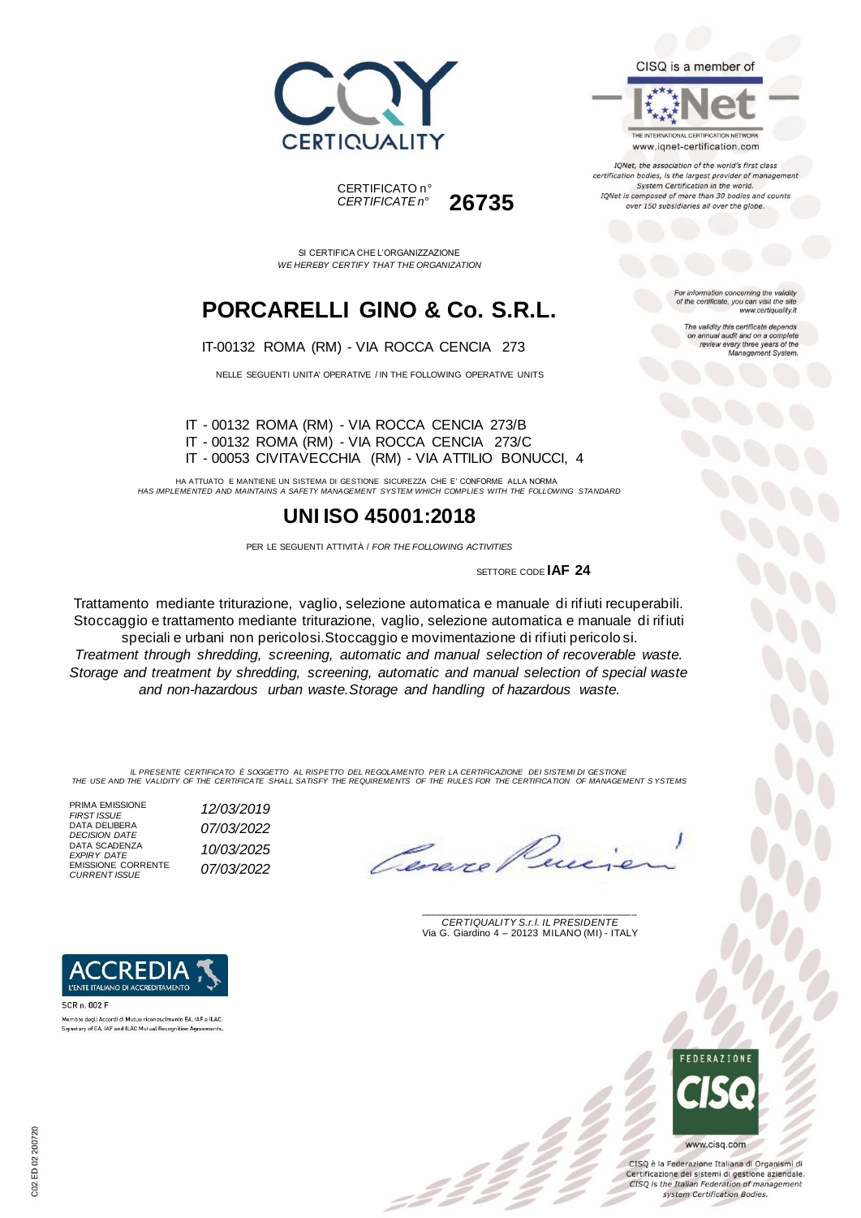



SI CERTIFICA CHE L'ORGANIZZAZIONE *WE HEREBY CERTIFY THAT THE ORGANIZATION*

# **PORCARELLI GINO & Co. S.R.L.**

#### IT-00132 ROMA (RM) - VIA ROCCA CENCIA 273

NELLE SEGUENTI UNITA' OPERATIVE / IN THE FOLLOWING OPERATIVE UNITS

IT - 00132 ROMA (RM) - VIA ROCCA CENCIA 273/B IT - 00132 ROMA (RM) - VIA ROCCA CENCIA 273/C IT - 00053 CIVITAVECCHIA (RM) - VIA ATTILIO BONUCCI, 4

HA ATTUATO E MANTIENE UN SISTEMA DI GESTIONE SICUREZZA CHE E' CONFORME ALLA NORMA *HAS IMPLEMENTED AND MAINTAINS A SAFETY MANAGEMENT SYSTEM WHICH COMPLIES WITH THE FOLLOWING STANDARD*

### **UNI ISO 45001:2018**

PER LE SEGUENTI ATTIVITÀ / *FOR THE FOLLOWING ACTIVITIES*

SETTORE CODE **IAF 24**

Trattamento mediante triturazione, vaglio, selezione automatica e manuale di rifiuti recuperabili. Stoccaggio e trattamento mediante triturazione, vaglio, selezione automatica e manuale di rifiuti speciali e urbani non pericolosi.Stoccaggio e movimentazione di rifiuti pericolo si. *Treatment through shredding, screening, automatic and manual selection of recoverable waste. Storage and treatment by shredding, screening, automatic and manual selection of special waste and non-hazardous urban waste.Storage and handling of hazardous waste.*

IL PRESENTE CERTIFICATO E SOGGETTO AL RISPETTO DEL REGOLAMENTO PER LA CERTIFICAZIONE DEI SISTEMI DI GESTIONE<br>THE USE AND THE VALIDITY OF THE CERTIFICATE SHALL SATISFY THE REQUIREMENTS OF THE RULES FOR THE CERTIFICATION OF

PRIMA EMISSIONE<br>FIRST ISSUE DATA DELIBERA DATA SCADENZA *EXPIRY DATE 10/03/2025* EMISSIONE CORRENTE *CURRENT ISSUE 07/03/2022*

R) E L'ENTE ITALIANO DI ACCREDITAMENTO

.<br>Membro degli Accordi di Mutuo riconoscimento EA, IAF e ILAC. Signatory of EA, IAF and ILAC Mutual Recognition Agreements.

SCR n. 002 F

*FIRST ISSUE 12/03/2019 DECISION DATE 07/03/2022*

Cenes

\_\_\_\_\_\_\_\_\_\_\_\_\_\_\_\_\_\_\_\_\_\_\_\_\_\_\_\_\_\_\_\_\_\_\_\_\_\_\_ *CERTIQUALITY S.r.l. IL PRESIDENTE* Via G. Giardino 4 – 20123 MILANO (MI) - ITALY



CISO è la Federazione Italiana di Organismi di Certificazione dei sistemi di gestione aziendale. CISQ is the Italian Federation of management system Certification Bodies.



CISQ is a member of

THE INTERNATIONAL CERTIFICATION NETWORK www.iqnet-certification.com

IQNet, the association of the world's first class certification bodies, is the largest provider of management System Certification in the world. IQNet is composed of more than 30 bodies and counts over 150 subsidiaries all over the globe.

> For information concerning the validity<br>of the certificate, you can visit the site www.certiquality.it

> > The validity this certificate depends on annual audit and on a complete<br>review every three years of the<br>Management System.